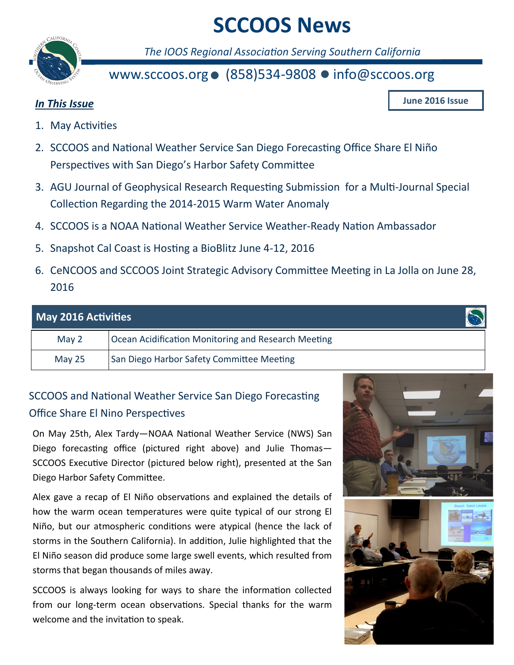# **SCCOOS News**



*The IOOS Regional Association Serving Southern California*

# www.sccoos.org  $\bullet$  (858)534-9808  $\bullet$  info@sccoos.org

### *In This Issue*

**June 2016 Issue**

- 1. May Activities
- 2. SCCOOS and National Weather Service San Diego Forecasting Office Share El Niño Perspectives with San Diego's Harbor Safety Committee
- 3. AGU Journal of Geophysical Research Requesting Submission for a Multi-Journal Special Collection Regarding the 2014-2015 Warm Water Anomaly
- 4. SCCOOS is a NOAA National Weather Service Weather-Ready Nation Ambassador
- 5. Snapshot Cal Coast is Hosting a BioBlitz June 4-12, 2016
- 6. CeNCOOS and SCCOOS Joint Strategic Advisory Committee Meeting in La Jolla on June 28, 2016

| <b>May 2016 Activities</b> |                                                     |
|----------------------------|-----------------------------------------------------|
| May 2                      | Ocean Acidification Monitoring and Research Meeting |
| May $25$                   | San Diego Harbor Safety Committee Meeting           |

# SCCOOS and National Weather Service San Diego Forecasting Office Share El Nino Perspectives

On May 25th, Alex Tardy—NOAA National Weather Service (NWS) San Diego forecasting office (pictured right above) and Julie Thomas— SCCOOS Executive Director (pictured below right), presented at the San Diego Harbor Safety Committee.

Alex gave a recap of El Niño observations and explained the details of how the warm ocean temperatures were quite typical of our strong El Niño, but our atmospheric conditions were atypical (hence the lack of storms in the Southern California). In addition, Julie highlighted that the El Niño season did produce some large swell events, which resulted from storms that began thousands of miles away.

SCCOOS is always looking for ways to share the information collected from our long-term ocean observations. Special thanks for the warm welcome and the invitation to speak.